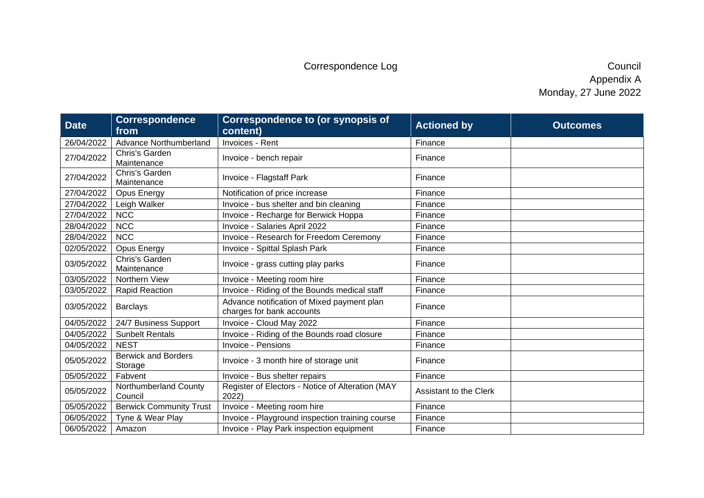| <b>Date</b> | <b>Correspondence</b><br>from         | <b>Correspondence to (or synopsis of</b><br>content)                    | <b>Actioned by</b>     | <b>Outcomes</b> |
|-------------|---------------------------------------|-------------------------------------------------------------------------|------------------------|-----------------|
| 26/04/2022  | Advance Northumberland                | Invoices - Rent                                                         | Finance                |                 |
| 27/04/2022  | Chris's Garden<br>Maintenance         | Invoice - bench repair                                                  | Finance                |                 |
| 27/04/2022  | Chris's Garden<br>Maintenance         | Invoice - Flagstaff Park                                                | Finance                |                 |
| 27/04/2022  | <b>Opus Energy</b>                    | Notification of price increase                                          | Finance                |                 |
| 27/04/2022  | Leigh Walker                          | Invoice - bus shelter and bin cleaning                                  | Finance                |                 |
| 27/04/2022  | <b>NCC</b>                            | Invoice - Recharge for Berwick Hoppa                                    | Finance                |                 |
| 28/04/2022  | <b>NCC</b>                            | Invoice - Salaries April 2022                                           | Finance                |                 |
| 28/04/2022  | <b>NCC</b>                            | Invoice - Research for Freedom Ceremony                                 | Finance                |                 |
| 02/05/2022  | <b>Opus Energy</b>                    | Invoice - Spittal Splash Park                                           | Finance                |                 |
| 03/05/2022  | Chris's Garden<br>Maintenance         | Invoice - grass cutting play parks                                      | Finance                |                 |
| 03/05/2022  | Northern View                         | Invoice - Meeting room hire                                             | Finance                |                 |
| 03/05/2022  | <b>Rapid Reaction</b>                 | Invoice - Riding of the Bounds medical staff                            | Finance                |                 |
| 03/05/2022  | <b>Barclays</b>                       | Advance notification of Mixed payment plan<br>charges for bank accounts | Finance                |                 |
| 04/05/2022  | 24/7 Business Support                 | Invoice - Cloud May 2022                                                | Finance                |                 |
| 04/05/2022  | <b>Sunbelt Rentals</b>                | Invoice - Riding of the Bounds road closure                             | Finance                |                 |
| 04/05/2022  | <b>NEST</b>                           | <b>Invoice - Pensions</b>                                               | Finance                |                 |
| 05/05/2022  | <b>Berwick and Borders</b><br>Storage | Invoice - 3 month hire of storage unit                                  | Finance                |                 |
| 05/05/2022  | Fabvent                               | Invoice - Bus shelter repairs                                           | Finance                |                 |
| 05/05/2022  | Northumberland County<br>Council      | Register of Electors - Notice of Alteration (MAY<br>2022)               | Assistant to the Clerk |                 |
| 05/05/2022  | <b>Berwick Community Trust</b>        | Invoice - Meeting room hire                                             | Finance                |                 |
| 06/05/2022  | Tyne & Wear Play                      | Invoice - Playground inspection training course                         | Finance                |                 |
| 06/05/2022  | Amazon                                | Invoice - Play Park inspection equipment                                | Finance                |                 |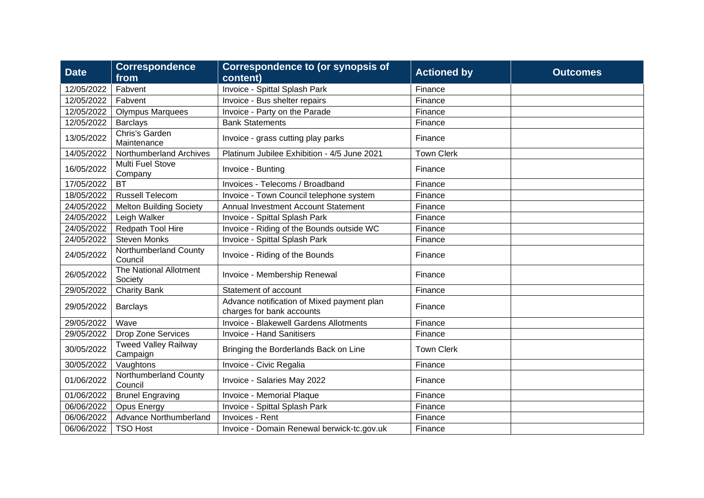| <b>Date</b> | <b>Correspondence</b><br>from           | <b>Correspondence to (or synopsis of</b><br>content)                    | <b>Actioned by</b> | <b>Outcomes</b> |
|-------------|-----------------------------------------|-------------------------------------------------------------------------|--------------------|-----------------|
| 12/05/2022  | Fabvent                                 | Invoice - Spittal Splash Park                                           | Finance            |                 |
| 12/05/2022  | Fabvent                                 | Invoice - Bus shelter repairs                                           | Finance            |                 |
| 12/05/2022  | <b>Olympus Marquees</b>                 | Invoice - Party on the Parade                                           | Finance            |                 |
| 12/05/2022  | <b>Barclays</b>                         | <b>Bank Statements</b>                                                  | Finance            |                 |
| 13/05/2022  | Chris's Garden<br>Maintenance           | Invoice - grass cutting play parks                                      | Finance            |                 |
| 14/05/2022  | Northumberland Archives                 | Platinum Jubilee Exhibition - 4/5 June 2021                             | <b>Town Clerk</b>  |                 |
| 16/05/2022  | Multi Fuel Stove<br>Company             | Invoice - Bunting                                                       | Finance            |                 |
| 17/05/2022  | <b>BT</b>                               | Invoices - Telecoms / Broadband                                         | Finance            |                 |
| 18/05/2022  | <b>Russell Telecom</b>                  | Invoice - Town Council telephone system                                 | Finance            |                 |
| 24/05/2022  | <b>Melton Building Society</b>          | Annual Investment Account Statement                                     | Finance            |                 |
| 24/05/2022  | Leigh Walker                            | Invoice - Spittal Splash Park                                           | Finance            |                 |
| 24/05/2022  | Redpath Tool Hire                       | Invoice - Riding of the Bounds outside WC                               | Finance            |                 |
| 24/05/2022  | <b>Steven Monks</b>                     | Invoice - Spittal Splash Park                                           | Finance            |                 |
| 24/05/2022  | Northumberland County<br>Council        | Invoice - Riding of the Bounds                                          | Finance            |                 |
| 26/05/2022  | The National Allotment<br>Society       | Invoice - Membership Renewal                                            | Finance            |                 |
| 29/05/2022  | <b>Charity Bank</b>                     | Statement of account                                                    | Finance            |                 |
| 29/05/2022  | <b>Barclays</b>                         | Advance notification of Mixed payment plan<br>charges for bank accounts | Finance            |                 |
| 29/05/2022  | Wave                                    | Invoice - Blakewell Gardens Allotments                                  | Finance            |                 |
| 29/05/2022  | <b>Drop Zone Services</b>               | <b>Invoice - Hand Sanitisers</b>                                        | Finance            |                 |
| 30/05/2022  | <b>Tweed Valley Railway</b><br>Campaign | Bringing the Borderlands Back on Line                                   | <b>Town Clerk</b>  |                 |
| 30/05/2022  | Vaughtons                               | Invoice - Civic Regalia                                                 | Finance            |                 |
| 01/06/2022  | Northumberland County<br>Council        | Invoice - Salaries May 2022                                             | Finance            |                 |
| 01/06/2022  | <b>Brunel Engraving</b>                 | Invoice - Memorial Plaque                                               | Finance            |                 |
| 06/06/2022  | <b>Opus Energy</b>                      | Invoice - Spittal Splash Park                                           | Finance            |                 |
| 06/06/2022  | Advance Northumberland                  | Invoices - Rent                                                         | Finance            |                 |
| 06/06/2022  | <b>TSO Host</b>                         | Invoice - Domain Renewal berwick-tc.gov.uk                              | Finance            |                 |